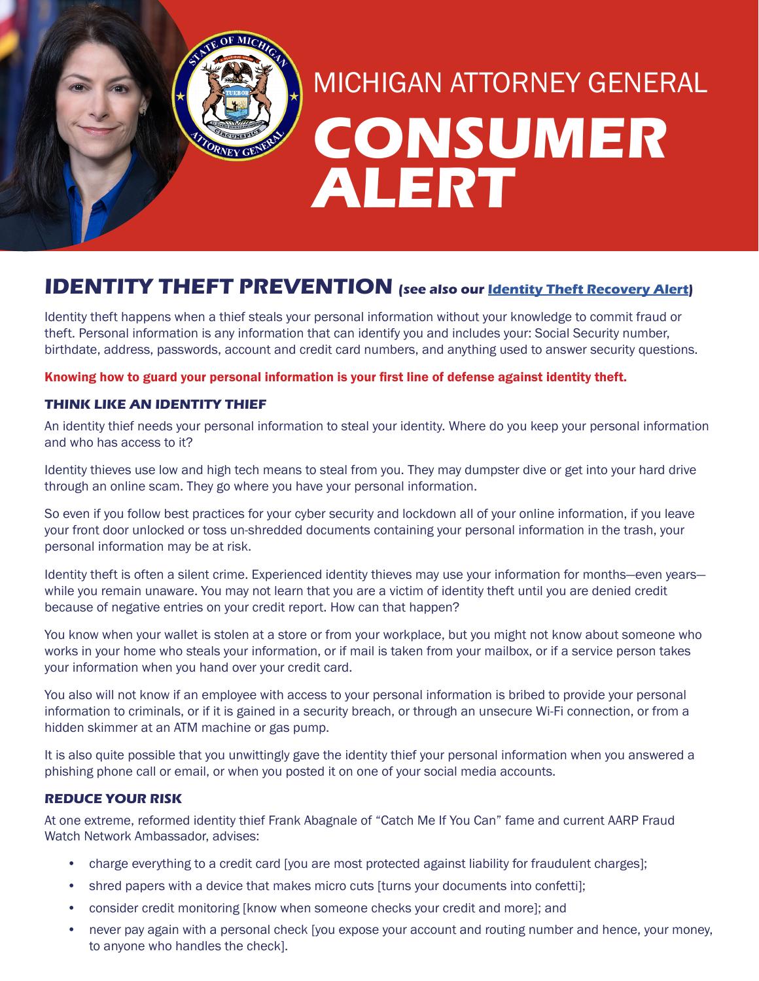# **CONSUMER ALERT** MICHIGAN ATTORNEY GENERAL

# **IDENTITY THEFT PREVENTION (see also our [Identity Theft R](https://www.michigan.gov/documents/ag/ID_Theft_Recovery_final_608965_7.pdf)ecovery Alert)**

Identity theft happens when a thief steals your personal information without your knowledge to commit fraud or theft. Personal information is any information that can identify you and includes your: Social Security number, birthdate, address, passwords, account and credit card numbers, and anything used to answer security questions.

Knowing how to guard your personal information is your first line of defense against identity theft.

# **THINK LIKE AN IDENTITY THIEF**

TORNEY GENT

An identity thief needs your personal information to steal your identity. Where do you keep your personal information and who has access to it?

Identity thieves use low and high tech means to steal from you. They may dumpster dive or get into your hard drive through an online scam. They go where you have your personal information.

So even if you follow best practices for your cyber security and lockdown all of your online information, if you leave your front door unlocked or toss un-shredded documents containing your personal information in the trash, your personal information may be at risk.

Identity theft is often a silent crime. Experienced identity thieves may use your information for months—even years while you remain unaware. You may not learn that you are a victim of identity theft until you are denied credit because of negative entries on your credit report. How can that happen?

You know when your wallet is stolen at a store or from your workplace, but you might not know about someone who works in your home who steals your information, or if mail is taken from your mailbox, or if a service person takes your information when you hand over your credit card.

You also will not know if an employee with access to your personal information is bribed to provide your personal information to criminals, or if it is gained in a security breach, or through an unsecure Wi-Fi connection, or from a hidden skimmer at an ATM machine or gas pump.

It is also quite possible that you unwittingly gave the identity thief your personal information when you answered a phishing phone call or email, or when you posted it on one of your social media accounts.

### **REDUCE YOUR RISK**

At one extreme, reformed identity thief Frank Abagnale of "Catch Me If You Can" fame and current AARP Fraud Watch Network Ambassador, advises:

- charge everything to a credit card [you are most protected against liability for fraudulent charges];
- shred papers with a device that makes micro cuts [turns your documents into confetti];
- consider credit monitoring [know when someone checks your credit and more]; and
- never pay again with a personal check [you expose your account and routing number and hence, your money, to anyone who handles the check].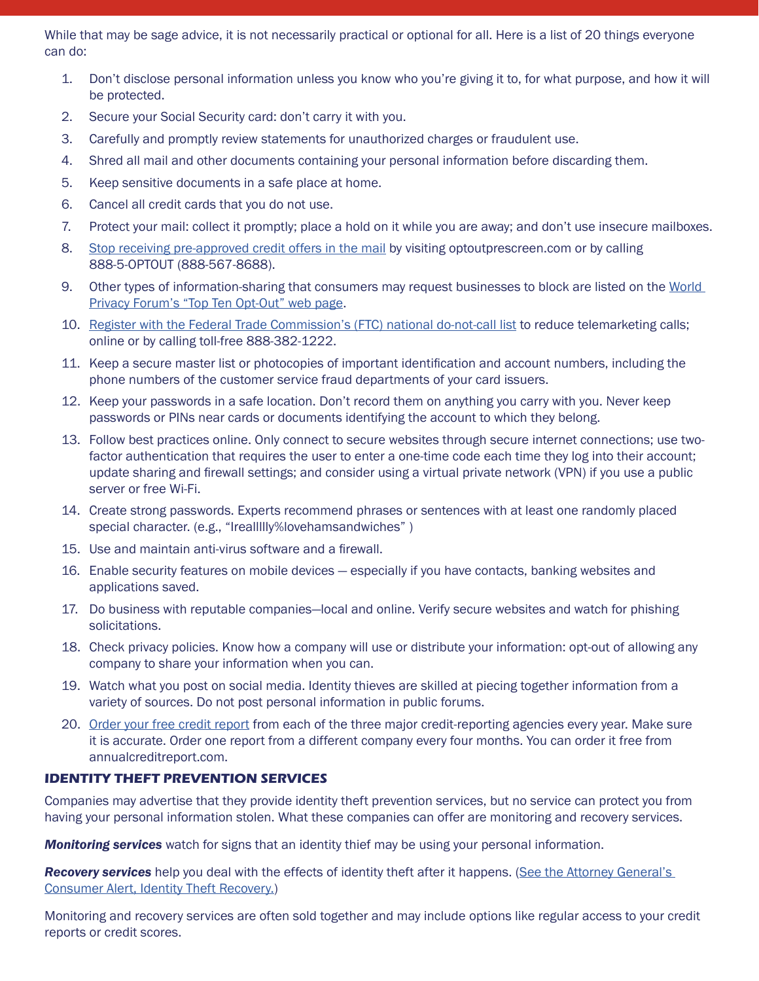While that may be sage advice, it is not necessarily practical or optional for all. Here is a list of 20 things everyone can do:

- 1. Don't disclose personal information unless you know who you're giving it to, for what purpose, and how it will be protected.
- 2. Secure your Social Security card: don't carry it with you.
- 3. Carefully and promptly review statements for unauthorized charges or fraudulent use.
- 4. Shred all mail and other documents containing your personal information before discarding them.
- 5. Keep sensitive documents in a safe place at home.
- 6. Cancel all credit cards that you do not use.
- 7. Protect your mail: collect it promptly; place a hold on it while you are away; and don't use insecure mailboxes.
- 8. [Stop receiving pre-approved credit offers in the mail](http://www.optoutprescreen.com/) by visiting optoutprescreen.com or by calling 888-5-OPTOUT (888-567-8688).
- 9. Other types of information-sharing that consumers may request businesses to block are listed on the World [Privacy Forum's "Top Ten Opt-Out" web page.](https://www.worldprivacyforum.org/2015/08/consumer-tips-top-ten-opt-outs/)
- 10. [Register with the Federal Trade Commission's \(FTC\) national do-not-call list](https://www.donotcall.gov/) to reduce telemarketing calls; online or by calling toll-free 888-382-1222.
- 11. Keep a secure master list or photocopies of important identification and account numbers, including the phone numbers of the customer service fraud departments of your card issuers.
- 12. Keep your passwords in a safe location. Don't record them on anything you carry with you. Never keep passwords or PINs near cards or documents identifying the account to which they belong.
- 13. Follow best practices online. Only connect to secure websites through secure internet connections; use twofactor authentication that requires the user to enter a one-time code each time they log into their account; update sharing and firewall settings; and consider using a virtual private network (VPN) if you use a public server or free Wi-Fi.
- 14. Create strong passwords. Experts recommend phrases or sentences with at least one randomly placed special character. (e.g., "Ireallllly%lovehamsandwiches" )
- 15. Use and maintain anti-virus software and a firewall.
- 16. Enable security features on mobile devices especially if you have contacts, banking websites and applications saved.
- 17. Do business with reputable companies—local and online. Verify secure websites and watch for phishing solicitations.
- 18. Check privacy policies. Know how a company will use or distribute your information: opt-out of allowing any company to share your information when you can.
- 19. Watch what you post on social media. Identity thieves are skilled at piecing together information from a variety of sources. Do not post personal information in public forums.
- 20. [Order your free credit report](https://www.annualcreditreport.com/index.action) from each of the three major credit-reporting agencies every year. Make sure it is accurate. Order one report from a different company every four months. You can order it free from annualcreditreport.com.

# **IDENTITY THEFT PREVENTION SERVICES**

Companies may advertise that they provide identity theft prevention services, but no service can protect you from having your personal information stolen. What these companies can offer are monitoring and recovery services.

*Monitoring services* watch for signs that an identity thief may be using your personal information.

*Recovery services* help you deal with the effects of identity theft after it happens. (See the Attorney General's [Consumer Alert, Identity Theft Recovery.](http://www.michigan.gov/documents/ag/ID_Theft_Recovery_final_608965_7.pdf))

Monitoring and recovery services are often sold together and may include options like regular access to your credit reports or credit scores.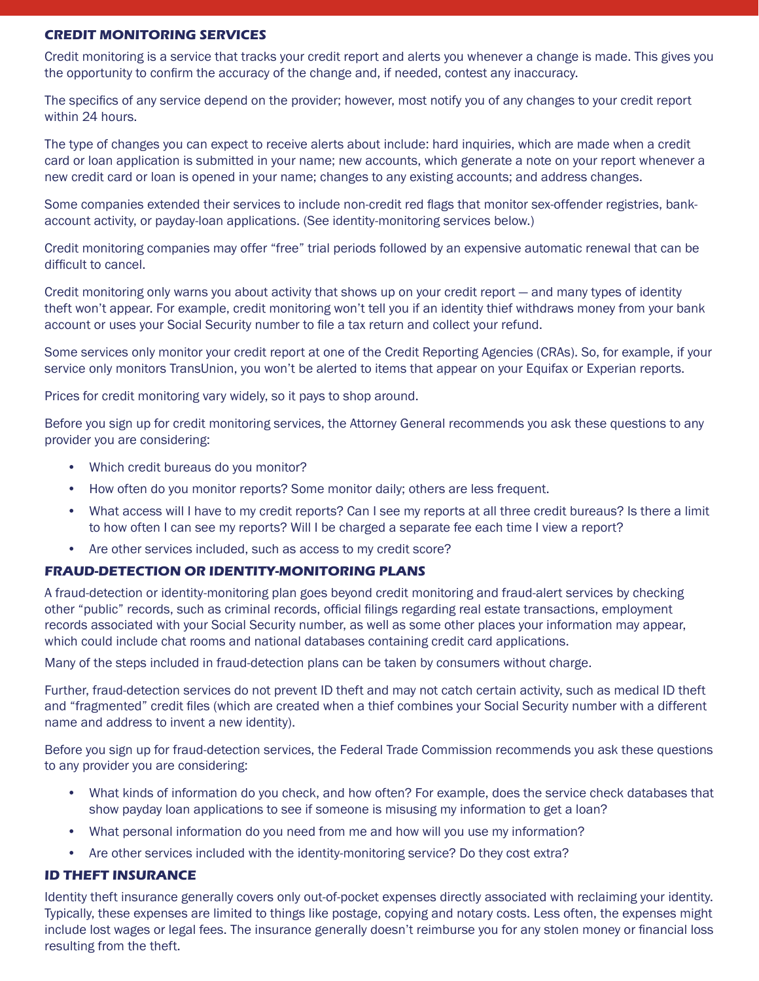### **CREDIT MONITORING SERVICES**

Credit monitoring is a service that tracks your credit report and alerts you whenever a change is made. This gives you the opportunity to confirm the accuracy of the change and, if needed, contest any inaccuracy.

The specifics of any service depend on the provider; however, most notify you of any changes to your credit report within 24 hours.

The type of changes you can expect to receive alerts about include: hard inquiries, which are made when a credit card or loan application is submitted in your name; new accounts, which generate a note on your report whenever a new credit card or loan is opened in your name; changes to any existing accounts; and address changes.

Some companies extended their services to include non-credit red flags that monitor sex-offender registries, bankaccount activity, or payday-loan applications. (See identity-monitoring services below.)

Credit monitoring companies may offer "free" trial periods followed by an expensive automatic renewal that can be difficult to cancel.

Credit monitoring only warns you about activity that shows up on your credit report — and many types of identity theft won't appear. For example, credit monitoring won't tell you if an identity thief withdraws money from your bank account or uses your Social Security number to file a tax return and collect your refund.

Some services only monitor your credit report at one of the Credit Reporting Agencies (CRAs). So, for example, if your service only monitors TransUnion, you won't be alerted to items that appear on your Equifax or Experian reports.

Prices for credit monitoring vary widely, so it pays to shop around.

Before you sign up for credit monitoring services, the Attorney General recommends you ask these questions to any provider you are considering:

- Which credit bureaus do you monitor?
- How often do you monitor reports? Some monitor daily; others are less frequent.
- What access will I have to my credit reports? Can I see my reports at all three credit bureaus? Is there a limit to how often I can see my reports? Will I be charged a separate fee each time I view a report?
- Are other services included, such as access to my credit score?

### **FRAUD-DETECTION OR IDENTITY-MONITORING PLANS**

A fraud-detection or identity-monitoring plan goes beyond credit monitoring and fraud-alert services by checking other "public" records, such as criminal records, official filings regarding real estate transactions, employment records associated with your Social Security number, as well as some other places your information may appear, which could include chat rooms and national databases containing credit card applications.

Many of the steps included in fraud-detection plans can be taken by consumers without charge.

Further, fraud-detection services do not prevent ID theft and may not catch certain activity, such as medical ID theft and "fragmented" credit files (which are created when a thief combines your Social Security number with a different name and address to invent a new identity).

Before you sign up for fraud-detection services, the Federal Trade Commission recommends you ask these questions to any provider you are considering:

- What kinds of information do you check, and how often? For example, does the service check databases that show payday loan applications to see if someone is misusing my information to get a loan?
- What personal information do you need from me and how will you use my information?
- Are other services included with the identity-monitoring service? Do they cost extra?

#### **ID THEFT INSURANCE**

Identity theft insurance generally covers only out-of-pocket expenses directly associated with reclaiming your identity. Typically, these expenses are limited to things like postage, copying and notary costs. Less often, the expenses might include lost wages or legal fees. The insurance generally doesn't reimburse you for any stolen money or financial loss resulting from the theft.